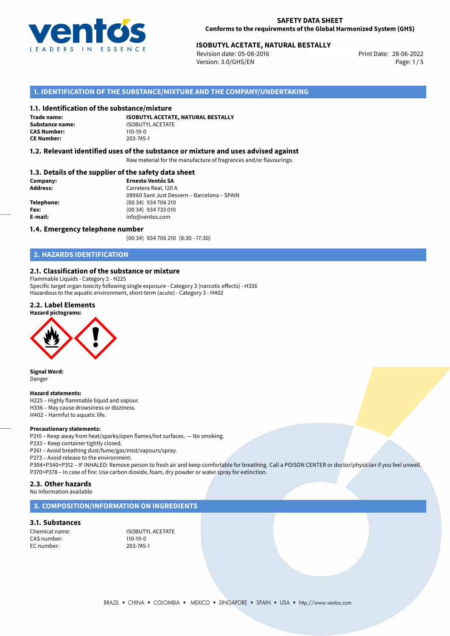

# **ISOBUTYL ACETATE, NATURAL BESTALLY**<br>
Revision date: 05-08-2016<br>
Print Date: 28-06-2022

Revision date: 05-08-2016 Version: 3.0/GHS/EN Page: 1/5

## **1. IDENTIFICATION OF THE SUBSTANCE/MIXTURE AND THE COMPANY/UNDERTAKING**

#### **1.1. Identification of the substance/mixture**

**Trade name: CAS Number: CE Number:** 203-745-1

**ISOBUTYL ACETATE, NATURAL BESTALLY Substance name:** ISOBUTYL ACETATE<br> **CAS Number:** 110-19-0

### **1.2. Relevant identified uses of the substance or mixture and uses advised against**

Raw material for the manufacture of fragrances and/or flavourings.

### **1.3. Details of the supplier of the safety data sheet**

| Company:        | <b>Ernesto Ventós SA</b>                    |  |
|-----------------|---------------------------------------------|--|
| <b>Address:</b> | Carretera Real, 120 A                       |  |
|                 | 08960 Sant Just Desvern - Barcelona - SPAIN |  |
| Telephone:      | (00 34) 934 706 210                         |  |
| Fax:            | (00 34) 934 733 010                         |  |
| E-mail:         | info@ventos.com                             |  |
|                 |                                             |  |

#### **1.4. Emergency telephone number**

(00 34) 934 706 210 (8:30 - 17:30)

## **2. HAZARDS IDENTIFICATION**

## **2.1. Classification of the substance or mixture**

Flammable Liquids - Category 2 - H225 Specific target organ toxicity following single exposure - Category 3 (narcotic effects) - H336 Hazardous to the aquatic environment, short-term (acute) - Category 3 - H402

### **2.2. Label Elements**





**Signal Word:** Danger

#### **Hazard statements:**

- H225 Highly flammable liquid and vapour.
- H336 May cause drowsiness or dizziness.
- H402 Harmful to aquatic life.

#### **Precautionary statements:**

P210 – Keep away from heat/sparks/open flames/hot surfaces. — No smoking.

- P233 Keep container tightly closed.
- P261 Avoid breathing dust/fume/gas/mist/vapours/spray.

P273 – Avoid release to the environment.

P304+P340+P312 – IF INHALED: Remove person to fresh air and keep comfortable for breathing. Call a POISON CENTER or doctor/physician if you feel unwell. P370+P378 – In case of fire: Use carbon dioxide, foam, dry powder or water spray for extinction.

## **2.3. Other hazards**

No Information available

## **3. COMPOSITION/INFORMATION ON INGREDIENTS**

#### **3.1. Substances**

CAS number: 110-19-0<br>
FC number: 203-745-1  $FC$  number:

Chemical name: ISOBUTYL ACETATE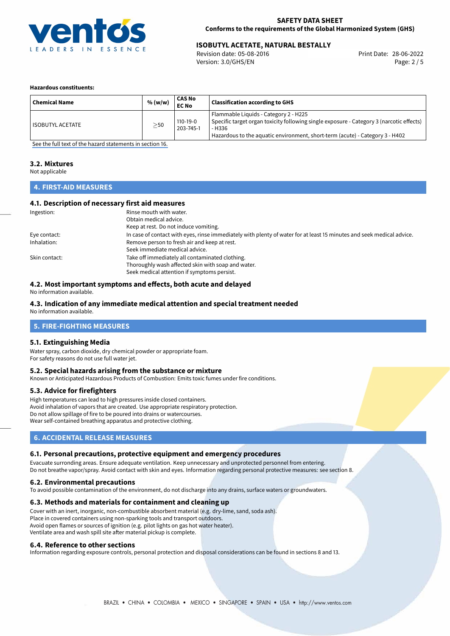

## **ISOBUTYL ACETATE, NATURAL BESTALLY**<br>
Revision date: 05-08-2016<br>
Print Date: 28-06-2022

Revision date: 05-08-2016 Version: 3.0/GHS/EN Page: 2 / 5

#### **Hazardous constituents:**

| <b>Chemical Name</b> | % (w/w)   | <b>CAS No</b><br><b>EC No</b> | <b>Classification according to GHS</b>                                                                                                                                                                                      |
|----------------------|-----------|-------------------------------|-----------------------------------------------------------------------------------------------------------------------------------------------------------------------------------------------------------------------------|
| ISOBUTYL ACETATE     | $\geq$ 50 | $110-19-0$<br>203-745-1       | Flammable Liquids - Category 2 - H225<br>Specific target organ toxicity following single exposure - Category 3 (narcotic effects)<br>- H336<br>Hazardous to the aquatic environment, short-term (acute) - Category 3 - H402 |

[See the full text of the hazard statements in section 16.](#page-4-0)

## **3.2. Mixtures**

Not applicable

## **4. FIRST-AID MEASURES**

## **4.1. Description of necessary first aid measures**

| Ingestion:    | Rinse mouth with water.                                                                                               |
|---------------|-----------------------------------------------------------------------------------------------------------------------|
|               | Obtain medical advice.                                                                                                |
|               | Keep at rest. Do not induce vomiting.                                                                                 |
| Eye contact:  | In case of contact with eyes, rinse immediately with plenty of water for at least 15 minutes and seek medical advice. |
| Inhalation:   | Remove person to fresh air and keep at rest.                                                                          |
|               | Seek immediate medical advice.                                                                                        |
| Skin contact: | Take off immediately all contaminated clothing.                                                                       |
|               | Thoroughly wash affected skin with soap and water.                                                                    |
|               | Seek medical attention if symptoms persist.                                                                           |

## **4.2. Most important symptoms and effects, both acute and delayed**

No information available.

## **4.3. Indication of any immediate medical attention and special treatment needed**

No information available.

## **5. FIRE-FIGHTING MEASURES**

#### **5.1. Extinguishing Media**

Water spray, carbon dioxide, dry chemical powder or appropriate foam. For safety reasons do not use full water jet.

### **5.2. Special hazards arising from the substance or mixture**

Known or Anticipated Hazardous Products of Combustion: Emits toxic fumes under fire conditions.

#### **5.3. Advice for firefighters**

High temperatures can lead to high pressures inside closed containers. Avoid inhalation of vapors that are created. Use appropriate respiratory protection. Do not allow spillage of fire to be poured into drains or watercourses. Wear self-contained breathing apparatus and protective clothing.

## **6. ACCIDENTAL RELEASE MEASURES**

### **6.1. Personal precautions, protective equipment and emergency procedures**

Evacuate surronding areas. Ensure adequate ventilation. Keep unnecessary and unprotected personnel from entering. Do not breathe vapor/spray. Avoid contact with skin and eyes. Information regarding personal protective measures: see section 8.

#### **6.2. Environmental precautions**

To avoid possible contamination of the environment, do not discharge into any drains, surface waters or groundwaters.

### **6.3. Methods and materials for containment and cleaning up**

Cover with an inert, inorganic, non-combustible absorbent material (e.g. dry-lime, sand, soda ash). Place in covered containers using non-sparking tools and transport outdoors. Avoid open flames or sources of ignition (e.g. pilot lights on gas hot water heater). Ventilate area and wash spill site after material pickup is complete.

#### **6.4. Reference to other sections**

Information regarding exposure controls, personal protection and disposal considerations can be found in sections 8 and 13.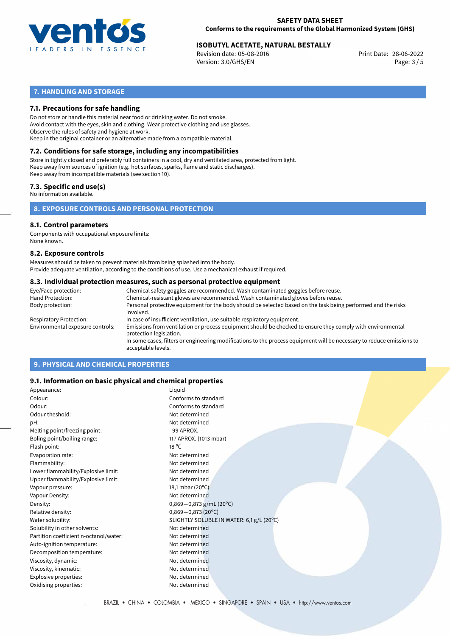

# 28-06-2022 **ISOBUTYL ACETATE, NATURAL BESTALLY**

Revision date: 05-08-2016 Version: 3.0/GHS/EN Page: 3 / 5

## **7. HANDLING AND STORAGE**

## **7.1. Precautions for safe handling**

Do not store or handle this material near food or drinking water. Do not smoke. Avoid contact with the eyes, skin and clothing. Wear protective clothing and use glasses. Observe the rules of safety and hygiene at work. Keep in the original container or an alternative made from a compatible material.

## **7.2. Conditions for safe storage, including any incompatibilities**

Store in tightly closed and preferably full containers in a cool, dry and ventilated area, protected from light. Keep away from sources of ignition (e.g. hot surfaces, sparks, flame and static discharges). Keep away from incompatible materials (see section 10).

## **7.3. Specific end use(s)**

No information available.

**8. EXPOSURE CONTROLS AND PERSONAL PROTECTION**

## **8.1. Control parameters**

Components with occupational exposure limits: None known.

#### **8.2. Exposure controls**

Measures should be taken to prevent materials from being splashed into the body. Provide adequate ventilation, according to the conditions of use. Use a mechanical exhaust if required.

#### **8.3. Individual protection measures, such as personal protective equipment**

| Eye/Face protection:             | Chemical safety goggles are recommended. Wash contaminated goggles before reuse.                                                            |
|----------------------------------|---------------------------------------------------------------------------------------------------------------------------------------------|
| Hand Protection:                 | Chemical-resistant gloves are recommended. Wash contaminated gloves before reuse.                                                           |
| Body protection:                 | Personal protective equipment for the body should be selected based on the task being performed and the risks<br>involved.                  |
| Respiratory Protection:          | In case of insufficient ventilation, use suitable respiratory equipment.                                                                    |
| Environmental exposure controls: | Emissions from ventilation or process equipment should be checked to ensure they comply with environmental<br>protection legislation.       |
|                                  | In some cases, filters or engineering modifications to the process equipment will be necessary to reduce emissions to<br>acceptable levels. |
|                                  |                                                                                                                                             |

## **9. PHYSICAL AND CHEMICAL PROPERTIES**

## **9.1. Information on basic physical and chemical properties**

| Appearance:                            | Liquid                                    |
|----------------------------------------|-------------------------------------------|
| Colour:                                | Conforms to standard                      |
| Odour:                                 | Conforms to standard                      |
| Odour theshold:                        | Not determined                            |
| pH:                                    | Not determined                            |
| Melting point/freezing point:          | $-99$ APROX.                              |
| Boling point/boiling range:            | 117 APROX. (1013 mbar)                    |
| Flash point:                           | $18^{\circ}$ C                            |
| Evaporation rate:                      | Not determined                            |
| Flammability:                          | Not determined                            |
| Lower flammability/Explosive limit:    | Not determined                            |
| Upper flammability/Explosive limit:    | Not determined                            |
| Vapour pressure:                       | 18,1 mbar (20°C)                          |
| Vapour Density:                        | Not determined                            |
| Density:                               | $0,869 - 0,873$ g/mL (20°C)               |
| Relative density:                      | $0,869 - 0,873(20°C)$                     |
| Water solubility:                      | SLIGHTLY SOLUBLE IN WATER: 6,1 g/L (20°C) |
| Solubility in other solvents:          | Not determined                            |
| Partition coefficient n-octanol/water: | Not determined                            |
| Auto-ignition temperature:             | Not determined                            |
| Decomposition temperature:             | Not determined                            |
| Viscosity, dynamic:                    | Not determined                            |
| Viscosity, kinematic:                  | Not determined                            |
| Explosive properties:                  | Not determined                            |
| Oxidising properties:                  | Not determined                            |
|                                        |                                           |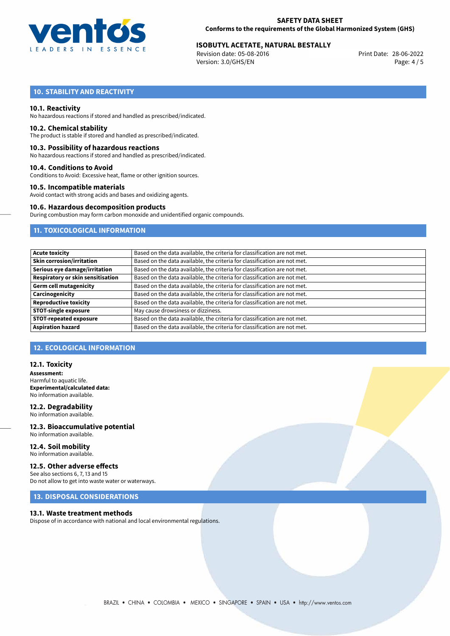

# 28-06-2022 **ISOBUTYL ACETATE, NATURAL BESTALLY**

Revision date: 05-08-2016 Version: 3.0/GHS/EN Page: 4 / 5

## **10. STABILITY AND REACTIVITY**

### **10.1. Reactivity**

No hazardous reactions if stored and handled as prescribed/indicated.

#### **10.2. Chemical stability**

The product is stable if stored and handled as prescribed/indicated.

#### **10.3. Possibility of hazardous reactions**

No hazardous reactions if stored and handled as prescribed/indicated.

#### **10.4. Conditions to Avoid**

Conditions to Avoid: Excessive heat, flame or other ignition sources.

### **10.5. Incompatible materials**

Avoid contact with strong acids and bases and oxidizing agents.

#### **10.6. Hazardous decomposition products**

During combustion may form carbon monoxide and unidentified organic compounds.

## **11. TOXICOLOGICAL INFORMATION**

| Acute toxicity                    | Based on the data available, the criteria for classification are not met. |
|-----------------------------------|---------------------------------------------------------------------------|
| Skin corrosion/irritation         | Based on the data available, the criteria for classification are not met. |
| Serious eye damage/irritation     | Based on the data available, the criteria for classification are not met. |
| Respiratory or skin sensitisation | Based on the data available, the criteria for classification are not met. |
| Germ cell mutagenicity            | Based on the data available, the criteria for classification are not met. |
| Carcinogenicity                   | Based on the data available, the criteria for classification are not met. |
| Reproductive toxicity             | Based on the data available, the criteria for classification are not met. |
| <b>STOT-single exposure</b>       | May cause drowsiness or dizziness.                                        |
| <b>STOT-repeated exposure</b>     | Based on the data available, the criteria for classification are not met. |
| <b>Aspiration hazard</b>          | Based on the data available, the criteria for classification are not met. |

## **12. ECOLOGICAL INFORMATION**

### **12.1. Toxicity**

**Assessment:** Harmful to aquatic life. **Experimental/calculated data:** No information available.

#### **12.2. Degradability** No information available.

**12.3. Bioaccumulative potential** No information available.

#### **12.4. Soil mobility** No information available.

## **12.5. Other adverse effects**

See also sections 6, 7, 13 and 15 Do not allow to get into waste water or waterways.

## **13. DISPOSAL CONSIDERATIONS**

#### **13.1. Waste treatment methods**

Dispose of in accordance with national and local environmental regulations.